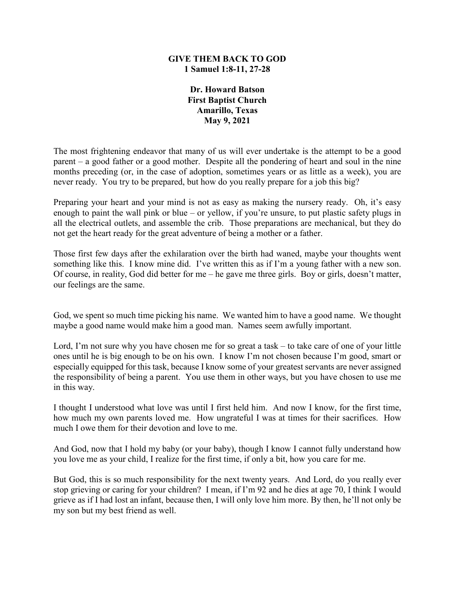### **GIVE THEM BACK TO GOD 1 Samuel 1:8-11, 27-28**

**Dr. Howard Batson First Baptist Church Amarillo, Texas May 9, 2021**

The most frightening endeavor that many of us will ever undertake is the attempt to be a good parent – a good father or a good mother. Despite all the pondering of heart and soul in the nine months preceding (or, in the case of adoption, sometimes years or as little as a week), you are never ready. You try to be prepared, but how do you really prepare for a job this big?

Preparing your heart and your mind is not as easy as making the nursery ready. Oh, it's easy enough to paint the wall pink or blue – or yellow, if you're unsure, to put plastic safety plugs in all the electrical outlets, and assemble the crib. Those preparations are mechanical, but they do not get the heart ready for the great adventure of being a mother or a father.

Those first few days after the exhilaration over the birth had waned, maybe your thoughts went something like this. I know mine did. I've written this as if I'm a young father with a new son. Of course, in reality, God did better for me – he gave me three girls. Boy or girls, doesn't matter, our feelings are the same.

God, we spent so much time picking his name. We wanted him to have a good name. We thought maybe a good name would make him a good man. Names seem awfully important.

Lord, I'm not sure why you have chosen me for so great a task – to take care of one of your little ones until he is big enough to be on his own. I know I'm not chosen because I'm good, smart or especially equipped for this task, because I know some of your greatest servants are never assigned the responsibility of being a parent. You use them in other ways, but you have chosen to use me in this way.

I thought I understood what love was until I first held him. And now I know, for the first time, how much my own parents loved me. How ungrateful I was at times for their sacrifices. How much I owe them for their devotion and love to me.

And God, now that I hold my baby (or your baby), though I know I cannot fully understand how you love me as your child, I realize for the first time, if only a bit, how you care for me.

But God, this is so much responsibility for the next twenty years. And Lord, do you really ever stop grieving or caring for your children? I mean, if I'm 92 and he dies at age 70, I think I would grieve as if I had lost an infant, because then, I will only love him more. By then, he'll not only be my son but my best friend as well.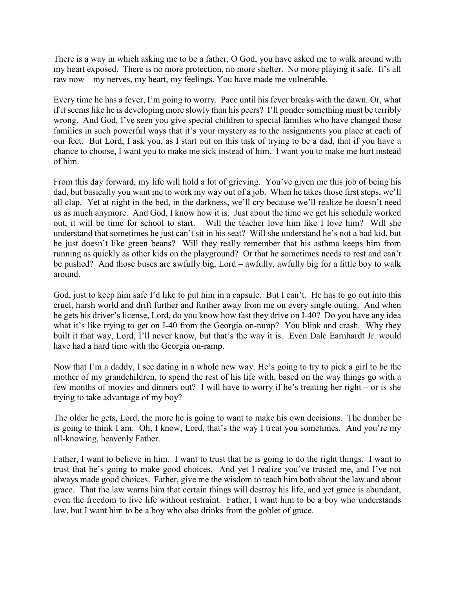There is a way in which asking me to be a father, O God, you have asked me to walk around with my heart exposed. There is no more protection, no more shelter. No more playing it safe. It's all raw now – my nerves, my heart, my feelings. You have made me vulnerable.

Every time he has a fever, I'm going to worry. Pace until his fever breaks with the dawn. Or, what if it seems like he is developing more slowly than his peers? I'll ponder something must be terribly wrong. And God, I've seen you give special children to special families who have changed those families in such powerful ways that it's your mystery as to the assignments you place at each of our feet. But Lord, I ask you, as I start out on this task of trying to be a dad, that if you have a chance to choose, I want you to make me sick instead of him. I want you to make me hurt instead of him.

From this day forward, my life will hold a lot of grieving. You've given me this job of being his dad, but basically you want me to work my way out of a job. When he takes those first steps, we'll all clap. Yet at night in the bed, in the darkness, we'll cry because we'll realize he doesn't need us as much anymore. And God, I know how it is. Just about the time we get his schedule worked out, it will be time for school to start. Will the teacher love him like I love him? Will she understand that sometimes he just can't sit in his seat? Will she understand he's not a bad kid, but he just doesn't like green beans? Will they really remember that his asthma keeps him from running as quickly as other kids on the playground? Or that he sometimes needs to rest and can't be pushed? And those buses are awfully big, Lord – awfully, awfully big for a little boy to walk around.

God, just to keep him safe I'd like to put him in a capsule. But I can't. He has to go out into this cruel, harsh world and drift further and further away from me on every single outing. And when he gets his driver's license, Lord, do you know how fast they drive on I-40? Do you have any idea what it's like trying to get on I-40 from the Georgia on-ramp? You blink and crash. Why they built it that way, Lord, I'll never know, but that's the way it is. Even Dale Earnhardt Jr. would have had a hard time with the Georgia on-ramp.

Now that I'm a daddy, I see dating in a whole new way. He's going to try to pick a girl to be the mother of my grandchildren, to spend the rest of his life with, based on the way things go with a few months of movies and dinners out? I will have to worry if he's treating her right – or is she trying to take advantage of my boy?

The older he gets, Lord, the more he is going to want to make his own decisions. The dumber he is going to think I am. Oh, I know, Lord, that's the way I treat you sometimes. And you're my all-knowing, heavenly Father.

Father, I want to believe in him. I want to trust that he is going to do the right things. I want to trust that he's going to make good choices. And yet I realize you've trusted me, and I've not always made good choices. Father, give me the wisdom to teach him both about the law and about grace. That the law warns him that certain things will destroy his life, and yet grace is abundant, even the freedom to live life without restraint. Father, I want him to be a boy who understands law, but I want him to be a boy who also drinks from the goblet of grace.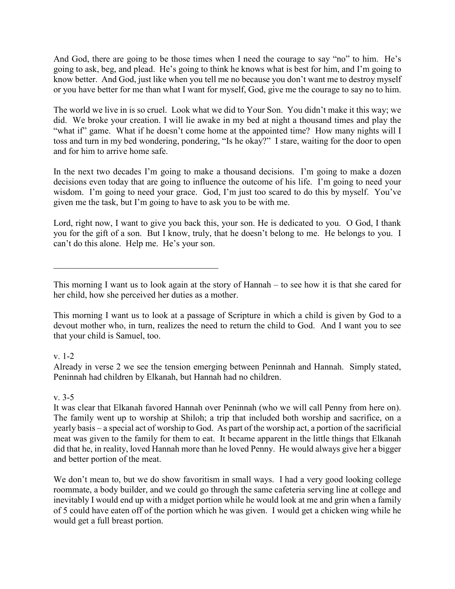And God, there are going to be those times when I need the courage to say "no" to him. He's going to ask, beg, and plead. He's going to think he knows what is best for him, and I'm going to know better. And God, just like when you tell me no because you don't want me to destroy myself or you have better for me than what I want for myself, God, give me the courage to say no to him.

The world we live in is so cruel. Look what we did to Your Son. You didn't make it this way; we did. We broke your creation. I will lie awake in my bed at night a thousand times and play the "what if" game. What if he doesn't come home at the appointed time? How many nights will I toss and turn in my bed wondering, pondering, "Is he okay?" I stare, waiting for the door to open and for him to arrive home safe.

In the next two decades I'm going to make a thousand decisions. I'm going to make a dozen decisions even today that are going to influence the outcome of his life. I'm going to need your wisdom. I'm going to need your grace. God, I'm just too scared to do this by myself. You've given me the task, but I'm going to have to ask you to be with me.

Lord, right now, I want to give you back this, your son. He is dedicated to you. O God, I thank you for the gift of a son. But I know, truly, that he doesn't belong to me. He belongs to you. I can't do this alone. Help me. He's your son.

This morning I want us to look again at the story of Hannah – to see how it is that she cared for her child, how she perceived her duties as a mother.

This morning I want us to look at a passage of Scripture in which a child is given by God to a devout mother who, in turn, realizes the need to return the child to God. And I want you to see that your child is Samuel, too.

# v. 1-2

Already in verse 2 we see the tension emerging between Peninnah and Hannah. Simply stated, Peninnah had children by Elkanah, but Hannah had no children.

# v. 3-5

It was clear that Elkanah favored Hannah over Peninnah (who we will call Penny from here on). The family went up to worship at Shiloh; a trip that included both worship and sacrifice, on a yearly basis – a special act of worship to God. As part of the worship act, a portion of the sacrificial meat was given to the family for them to eat. It became apparent in the little things that Elkanah did that he, in reality, loved Hannah more than he loved Penny. He would always give her a bigger and better portion of the meat.

We don't mean to, but we do show favoritism in small ways. I had a very good looking college roommate, a body builder, and we could go through the same cafeteria serving line at college and inevitably I would end up with a midget portion while he would look at me and grin when a family of 5 could have eaten off of the portion which he was given. I would get a chicken wing while he would get a full breast portion.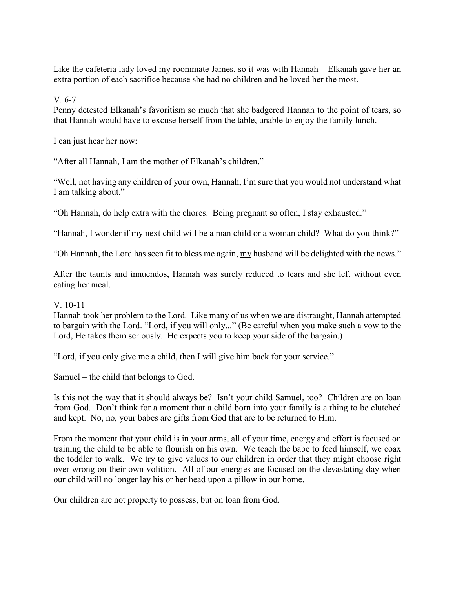Like the cafeteria lady loved my roommate James, so it was with Hannah – Elkanah gave her an extra portion of each sacrifice because she had no children and he loved her the most.

V. 6-7

Penny detested Elkanah's favoritism so much that she badgered Hannah to the point of tears, so that Hannah would have to excuse herself from the table, unable to enjoy the family lunch.

I can just hear her now:

"After all Hannah, I am the mother of Elkanah's children."

"Well, not having any children of your own, Hannah, I'm sure that you would not understand what I am talking about."

"Oh Hannah, do help extra with the chores. Being pregnant so often, I stay exhausted."

"Hannah, I wonder if my next child will be a man child or a woman child? What do you think?"

"Oh Hannah, the Lord has seen fit to bless me again, my husband will be delighted with the news."

After the taunts and innuendos, Hannah was surely reduced to tears and she left without even eating her meal.

### V. 10-11

Hannah took her problem to the Lord. Like many of us when we are distraught, Hannah attempted to bargain with the Lord. "Lord, if you will only..." (Be careful when you make such a vow to the Lord, He takes them seriously. He expects you to keep your side of the bargain.)

"Lord, if you only give me a child, then I will give him back for your service."

Samuel – the child that belongs to God.

Is this not the way that it should always be? Isn't your child Samuel, too? Children are on loan from God. Don't think for a moment that a child born into your family is a thing to be clutched and kept. No, no, your babes are gifts from God that are to be returned to Him.

From the moment that your child is in your arms, all of your time, energy and effort is focused on training the child to be able to flourish on his own. We teach the babe to feed himself, we coax the toddler to walk. We try to give values to our children in order that they might choose right over wrong on their own volition. All of our energies are focused on the devastating day when our child will no longer lay his or her head upon a pillow in our home.

Our children are not property to possess, but on loan from God.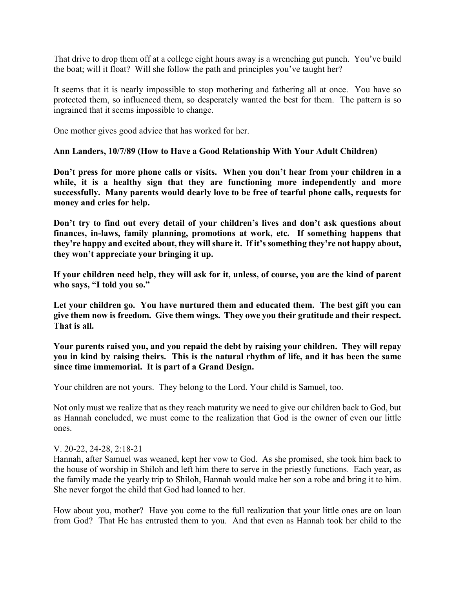That drive to drop them off at a college eight hours away is a wrenching gut punch. You've build the boat; will it float? Will she follow the path and principles you've taught her?

It seems that it is nearly impossible to stop mothering and fathering all at once. You have so protected them, so influenced them, so desperately wanted the best for them. The pattern is so ingrained that it seems impossible to change.

One mother gives good advice that has worked for her.

### **Ann Landers, 10/7/89 (How to Have a Good Relationship With Your Adult Children)**

**Don't press for more phone calls or visits. When you don't hear from your children in a while, it is a healthy sign that they are functioning more independently and more successfully. Many parents would dearly love to be free of tearful phone calls, requests for money and cries for help.**

**Don't try to find out every detail of your children's lives and don't ask questions about finances, in-laws, family planning, promotions at work, etc. If something happens that they're happy and excited about, they will share it. If it's something they're not happy about, they won't appreciate your bringing it up.**

**If your children need help, they will ask for it, unless, of course, you are the kind of parent who says, "I told you so."** 

**Let your children go. You have nurtured them and educated them. The best gift you can give them now is freedom. Give them wings. They owe you their gratitude and their respect. That is all.**

**Your parents raised you, and you repaid the debt by raising your children. They will repay you in kind by raising theirs. This is the natural rhythm of life, and it has been the same since time immemorial. It is part of a Grand Design.**

Your children are not yours. They belong to the Lord. Your child is Samuel, too.

Not only must we realize that as they reach maturity we need to give our children back to God, but as Hannah concluded, we must come to the realization that God is the owner of even our little ones.

#### V. 20-22, 24-28, 2:18-21

Hannah, after Samuel was weaned, kept her vow to God. As she promised, she took him back to the house of worship in Shiloh and left him there to serve in the priestly functions. Each year, as the family made the yearly trip to Shiloh, Hannah would make her son a robe and bring it to him. She never forgot the child that God had loaned to her.

How about you, mother? Have you come to the full realization that your little ones are on loan from God? That He has entrusted them to you. And that even as Hannah took her child to the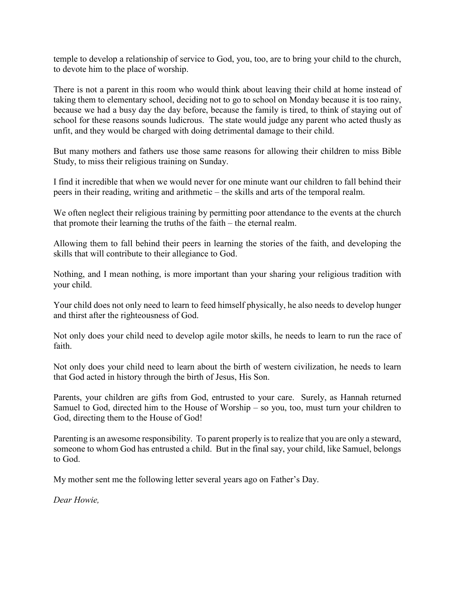temple to develop a relationship of service to God, you, too, are to bring your child to the church, to devote him to the place of worship.

There is not a parent in this room who would think about leaving their child at home instead of taking them to elementary school, deciding not to go to school on Monday because it is too rainy, because we had a busy day the day before, because the family is tired, to think of staying out of school for these reasons sounds ludicrous. The state would judge any parent who acted thusly as unfit, and they would be charged with doing detrimental damage to their child.

But many mothers and fathers use those same reasons for allowing their children to miss Bible Study, to miss their religious training on Sunday.

I find it incredible that when we would never for one minute want our children to fall behind their peers in their reading, writing and arithmetic – the skills and arts of the temporal realm.

We often neglect their religious training by permitting poor attendance to the events at the church that promote their learning the truths of the faith – the eternal realm.

Allowing them to fall behind their peers in learning the stories of the faith, and developing the skills that will contribute to their allegiance to God.

Nothing, and I mean nothing, is more important than your sharing your religious tradition with your child.

Your child does not only need to learn to feed himself physically, he also needs to develop hunger and thirst after the righteousness of God.

Not only does your child need to develop agile motor skills, he needs to learn to run the race of faith.

Not only does your child need to learn about the birth of western civilization, he needs to learn that God acted in history through the birth of Jesus, His Son.

Parents, your children are gifts from God, entrusted to your care. Surely, as Hannah returned Samuel to God, directed him to the House of Worship – so you, too, must turn your children to God, directing them to the House of God!

Parenting is an awesome responsibility. To parent properly is to realize that you are only a steward, someone to whom God has entrusted a child. But in the final say, your child, like Samuel, belongs to God.

My mother sent me the following letter several years ago on Father's Day.

*Dear Howie,*